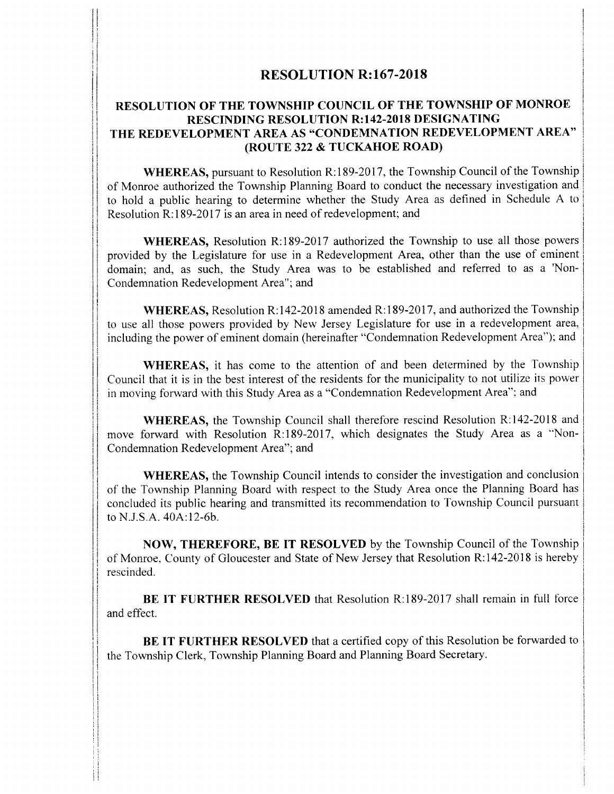# RESOLUTION R:167-2018

It

Ij

f

ii

. .

## RESOLUTION OF THE TOWNSHIP COUNCIL OF THE TOWNSHIP OF MONROE RESCINDING RESOLUTION R:142-2018 DESIGNATING THE REDEVELOPMENT AREA AS "CONDEMNATION REDEVELOPMENT AREA" (ROUTE 322 & TUCKAHOE ROAD)

WHEREAS, pursuant to Resolution R:189-2017, the Township Council of the Township of Monroe authorized the Township Planning Board to conduct the necessary investigation and to hold a public hearing to determine whether the Study Area as defined in Schedule A to Resolution R:189-2017 is an area in need of redevelopment; and

WHEREAS, Resolution R: 189-2017 authorized the Township to use all those powers provided by the Legislature for use in <sup>a</sup> Redevelopment Area, other than the use of eminent domain; and, as such, the Study Area was to be established and referred to as a 'Non-Condemnation Redevelopment Area"; and

WHEREAS, Resolution R:142-2018 amended R:189-2017, and authorized the Township to use all those powers provided by New Jersey Legislature for use in a redevelopment area, including the power of eminent domain (hereinafter "Condemnation Redevelopment Area"); and

WHEREAS, it has come to the attention of and been determined by the Township Council that it is in the best interest of the residents for the municipality to not utilize its power in moving forward with this Study Area as a "Condemnation Redevelopment Area"; and

WHEREAS, the Township Council shall therefore rescind Resolution R:142-2018 and move forward with Resolution R:189-2017, which designates the Study Area as a "Non-Condemnation Redevelopment Area"; and

WHEREAS, the Township Council intends to consider the investigation and conclusion of the Township Planning Board with respect to the Study Area once the Planning Board has concluded its public hearing and transmitted its recommendation to Township Council pursuant to N.J.S.A. 40A:12-6b. **ESOLUTION R:167-2018**<br> **ESOLUTION R:167-2018**<br> **ESOLUTION R:167-2018**<br> **ESOLUTION R:167-2018**<br> **IRE REDEVELOMENT AREA AS-COMMONATION REDEVELTOMENT AREA ASSUMPATION (BOUTE 222 ATTICAL AND RESIGNATION REDEVELOMENT AREA ASS** 

NOW, THEREFORE, BE IT RESOLVED by the Township Council of the Township of Monroe, County of Gloucester and State of New Jersey that Resolution R:142-2018 is hereby rescinded.

BE IT FURTHER RESOLVED that Resolution R:189-2017 shall remain in full force and effect.

. .

BE IT FURTHER RESOLVED that a certified copy of this Resolution be forwarded to the Township Clerk, Township Planning Board and Planning Board Secretary.